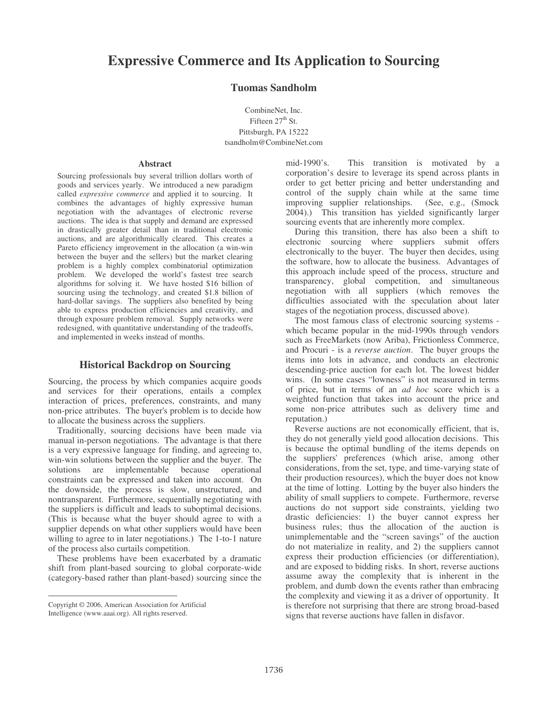# **Expressive Commerce and Its Application to Sourcing**

#### **Tuomas Sandholm**

CombineNet, Inc. Fifteen 27<sup>th</sup> St. Pittsburgh, PA 15222 tsandholm@CombineNet.com

#### **Abstract**

Sourcing professionals buy several trillion dollars worth of goods and services yearly. We introduced a new paradigm called *expressive commerce* and applied it to sourcing. It combines the advantages of highly expressive human negotiation with the advantages of electronic reverse auctions. The idea is that supply and demand are expressed in drastically greater detail than in traditional electronic auctions, and are algorithmically cleared. This creates a Pareto efficiency improvement in the allocation (a win-win between the buyer and the sellers) but the market clearing problem is a highly complex combinatorial optimization problem. We developed the world's fastest tree search algorithms for solving it. We have hosted \$16 billion of sourcing using the technology, and created \$1.8 billion of hard-dollar savings. The suppliers also benefited by being able to express production efficiencies and creativity, and through exposure problem removal. Supply networks were redesigned, with quantitative understanding of the tradeoffs, and implemented in weeks instead of months.

## **Historical Backdrop on Sourcing**

Sourcing, the process by which companies acquire goods and services for their operations, entails a complex interaction of prices, preferences, constraints, and many non-price attributes. The buyer's problem is to decide how to allocate the business across the suppliers.

Traditionally, sourcing decisions have been made via manual in-person negotiations. The advantage is that there is a very expressive language for finding, and agreeing to, win-win solutions between the supplier and the buyer. The solutions are implementable because operational constraints can be expressed and taken into account. On the downside, the process is slow, unstructured, and nontransparent. Furthermore, sequentially negotiating with the suppliers is difficult and leads to suboptimal decisions. (This is because what the buyer should agree to with a supplier depends on what other suppliers would have been willing to agree to in later negotiations.) The 1-to-1 nature of the process also curtails competition.

These problems have been exacerbated by a dramatic shift from plant-based sourcing to global corporate-wide (category-based rather than plant-based) sourcing since the mid-1990's. This transition is motivated by a corporation's desire to leverage its spend across plants in order to get better pricing and better understanding and control of the supply chain while at the same time improving supplier relationships. (See, e.g., (Smock 2004).) This transition has yielded significantly larger sourcing events that are inherently more complex.

During this transition, there has also been a shift to electronic sourcing where suppliers submit offers electronically to the buyer. The buyer then decides, using the software, how to allocate the business. Advantages of this approach include speed of the process, structure and transparency, global competition, and simultaneous negotiation with all suppliers (which removes the difficulties associated with the speculation about later stages of the negotiation process, discussed above).

The most famous class of electronic sourcing systems which became popular in the mid-1990s through vendors such as FreeMarkets (now Ariba), Frictionless Commerce, and Procuri - is a *reverse auction*. The buyer groups the items into lots in advance, and conducts an electronic descending-price auction for each lot. The lowest bidder wins. (In some cases "lowness" is not measured in terms of price, but in terms of an *ad hoc* score which is a weighted function that takes into account the price and some non-price attributes such as delivery time and reputation.)

Reverse auctions are not economically efficient, that is, they do not generally yield good allocation decisions. This is because the optimal bundling of the items depends on the suppliers' preferences (which arise, among other considerations, from the set, type, and time-varying state of their production resources), which the buyer does not know at the time of lotting. Lotting by the buyer also hinders the ability of small suppliers to compete. Furthermore, reverse auctions do not support side constraints, yielding two drastic deficiencies: 1) the buyer cannot express her business rules; thus the allocation of the auction is unimplementable and the "screen savings" of the auction do not materialize in reality, and 2) the suppliers cannot express their production efficiencies (or differentiation), and are exposed to bidding risks. In short, reverse auctions assume away the complexity that is inherent in the problem, and dumb down the events rather than embracing the complexity and viewing it as a driver of opportunity. It is therefore not surprising that there are strong broad-based signs that reverse auctions have fallen in disfavor.

Copyright © 2006, American Association for Artificial Intelligence (www.aaai.org). All rights reserved.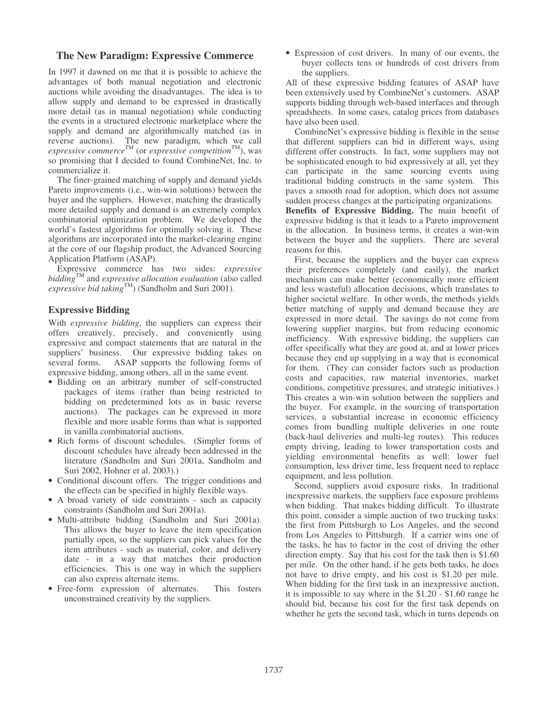## **The New Paradigm: Expressive Commerce**

In 1997 it dawned on me that it is possible to achieve the advantages of both manual negotiation and electronic auctions while avoiding the disadvantages. The idea is to allow supply and demand to be expressed in drastically more detail (as in manual negotiation) while conducting the events in a structured electronic marketplace where the supply and demand are algorithmically matched (as in reverse auctions). The new paradigm, which we call *expressive commerce* TM (or *expressive competition* TM ), was so promising that I decided to found CombineNet, Inc. to commercialize it.

The finer-grained matching of supply and demand yields Pareto improvements (i.e., win-win solutions) between the buyer and the suppliers. However, matching the drastically more detailed supply and demand is an extremely complex combinatorial optimization problem. We developed the world's fastest algorithms for optimally solving it. These algorithms are incorporated into the market-clearing engine at the core of our flagship product, the Advanced Sourcing Application Platform (ASAP).

Expressive commerce has two sides: *expressive bidding* TM and *expressive allocation evaluation* (also called *expressive bid taking*<sup>™</sup>) (Sandholm and Suri 2001).

#### **Expressive Bidding**

With *expressive bidding*, the suppliers can express their offers creatively, precisely, and conveniently using expressive and compact statements that are natural in the suppliers' business. Our expressive bidding takes on several forms. ASAP supports the following forms of expressive bidding, among others, all in the same event.

- Bidding on an arbitrary number of self-constructed packages of items (rather than being restricted to bidding on predetermined lots as in basic reverse auctions). The packages can be expressed in more flexible and more usable forms than what is supported in vanilla combinatorial auctions.
- Rich forms of discount schedules. (Simpler forms of discount schedules have already been addressed in the literature (Sandholm and Suri 2001a, Sandholm and Suri 2002, Hohner et al. 2003).)
- Conditional discount offers. The trigger conditions and the effects can be specified in highly flexible ways.
- A broad variety of side constraints such as capacity constraints (Sandholm and Suri 2001a).
- Multi-attribute bidding (Sandholm and Suri 2001a). This allows the buyer to leave the item specification partially open, so the suppliers can pick values for the item attributes - such as material, color, and delivery date - in a way that matches their production efficiencies. This is one way in which the suppliers can also express alternate items.
- Free-form expression of alternates. This fosters unconstrained creativity by the suppliers.

• Expression of cost drivers. In many of our events, the buyer collects tens or hundreds of cost drivers from the suppliers.

All of these expressive bidding features of ASAP have been extensively used by CombineNet's customers. ASAP supports bidding through web-based interfaces and through spreadsheets. In some cases, catalog prices from databases have also been used.

CombineNet's expressive bidding is flexible in the sense that different suppliers can bid in different ways, using different offer constructs. In fact, some suppliers may not be sophisticated enough to bid expressively at all, yet they can participate in the same sourcing events using traditional bidding constructs in the same system. This paves a smooth road for adoption, which does not assume sudden process changes at the participating organizations.

**Benefits of Expressive Bidding.** The main benefit of expressive bidding is that it leads to a Pareto improvement in the allocation. In business terms, it creates a win-win between the buyer and the suppliers. There are several reasons for this.

First, because the suppliers and the buyer can express their preferences completely (and easily), the market mechanism can make better (economically more efficient and less wasteful) allocation decisions, which translates to higher societal welfare. In other words, the methods yields better matching of supply and demand because they are expressed in more detail. The savings do not come from lowering supplier margins, but from reducing economic inefficiency. With expressive bidding, the suppliers can offer specifically what they are good at, and at lower prices because they end up supplying in a way that is economical for them. (They can consider factors such as production costs and capacities, raw material inventories, market conditions, competitive pressures, and strategic initiatives.) This creates a win-win solution between the suppliers and the buyer. For example, in the sourcing of transportation services, a substantial increase in economic efficiency comes from bundling multiple deliveries in one route (back-haul deliveries and multi-leg routes). This reduces empty driving, leading to lower transportation costs and yielding environmental benefits as well: lower fuel consumption, less driver time, less frequent need to replace equipment, and less pollution.

Second, suppliers avoid exposure risks. In traditional inexpressive markets, the suppliers face exposure problems when bidding. That makes bidding difficult. To illustrate this point, consider a simple auction of two trucking tasks: the first from Pittsburgh to Los Angeles, and the second from Los Angeles to Pittsburgh. If a carrier wins one of the tasks, he has to factor in the cost of driving the other direction empty. Say that his cost for the task then is \$1.60 per mile. On the other hand, if he gets both tasks, he does not have to drive empty, and his cost is \$1.20 per mile. When bidding for the first task in an inexpressive auction, it is impossible to say where in the \$1.20 - \$1.60 range he should bid, because his cost for the first task depends on whether he gets the second task, which in turns depends on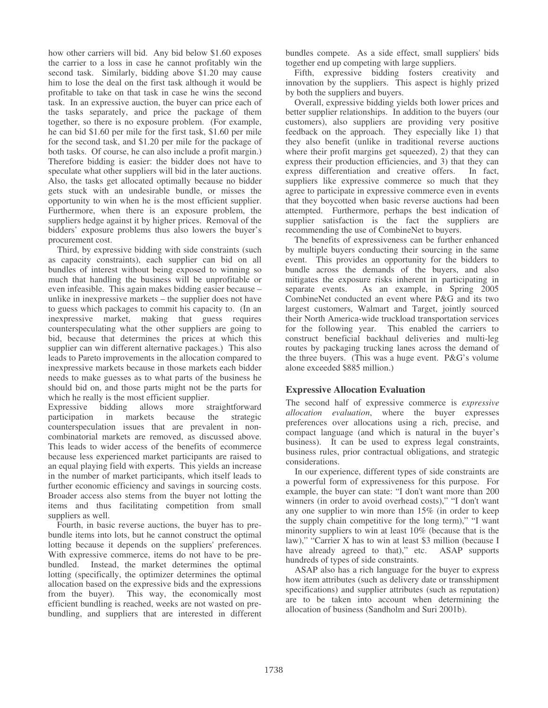how other carriers will bid. Any bid below \$1.60 exposes the carrier to a loss in case he cannot profitably win the second task. Similarly, bidding above \$1.20 may cause him to lose the deal on the first task although it would be profitable to take on that task in case he wins the second task. In an expressive auction, the buyer can price each of the tasks separately, and price the package of them together, so there is no exposure problem. (For example, he can bid \$1.60 per mile for the first task, \$1.60 per mile for the second task, and \$1.20 per mile for the package of both tasks. Of course, he can also include a profit margin.) Therefore bidding is easier: the bidder does not have to speculate what other suppliers will bid in the later auctions. Also, the tasks get allocated optimally because no bidder gets stuck with an undesirable bundle, or misses the opportunity to win when he is the most efficient supplier. Furthermore, when there is an exposure problem, the suppliers hedge against it by higher prices. Removal of the bidders' exposure problems thus also lowers the buyer's procurement cost.

Third, by expressive bidding with side constraints (such as capacity constraints), each supplier can bid on all bundles of interest without being exposed to winning so much that handling the business will be unprofitable or even infeasible. This again makes bidding easier because – unlike in inexpressive markets – the supplier does not have to guess which packages to commit his capacity to. (In an inexpressive market, making that guess requires counterspeculating what the other suppliers are going to bid, because that determines the prices at which this supplier can win different alternative packages.) This also leads to Pareto improvements in the allocation compared to inexpressive markets because in those markets each bidder needs to make guesses as to what parts of the business he should bid on, and those parts might not be the parts for

which he really is the most efficient supplier.<br>Expressive bidding allows more st Expressive bidding allows more straightforward<br>participation in markets because the strategic participation in markets because the strategic counterspeculation issues that are prevalent in noncombinatorial markets are removed, as discussed above. This leads to wider access of the benefits of ecommerce because less experienced market participants are raised to an equal playing field with experts. This yields an increase in the number of market participants, which itself leads to further economic efficiency and savings in sourcing costs. Broader access also stems from the buyer not lotting the items and thus facilitating competition from small suppliers as well.

Fourth, in basic reverse auctions, the buyer has to prebundle items into lots, but he cannot construct the optimal lotting because it depends on the suppliers' preferences. With expressive commerce, items do not have to be prebundled. Instead, the market determines the optimal lotting (specifically, the optimizer determines the optimal allocation based on the expressive bids and the expressions from the buyer). This way, the economically most efficient bundling is reached, weeks are not wasted on prebundling, and suppliers that are interested in different bundles compete. As a side effect, small suppliers'bids together end up competing with large suppliers.

Fifth, expressive bidding fosters creativity and innovation by the suppliers. This aspect is highly prized by both the suppliers and buyers.

Overall, expressive bidding yields both lower prices and better supplier relationships. In addition to the buyers (our customers), also suppliers are providing very positive feedback on the approach. They especially like 1) that they also benefit (unlike in traditional reverse auctions where their profit margins get squeezed), 2) that they can express their production efficiencies, and 3) that they can express differentiation and creative offers. In fact, express differentiation and creative offers. suppliers like expressive commerce so much that they agree to participate in expressive commerce even in events that they boycotted when basic reverse auctions had been attempted. Furthermore, perhaps the best indication of supplier satisfaction is the fact the suppliers are recommending the use of CombineNet to buyers.

The benefits of expressiveness can be further enhanced by multiple buyers conducting their sourcing in the same event. This provides an opportunity for the bidders to bundle across the demands of the buyers, and also mitigates the exposure risks inherent in participating in separate events. As an example, in Spring 2005 As an example, in Spring 2005 CombineNet conducted an event where P&G and its two largest customers, Walmart and Target, jointly sourced their North America-wide truckload transportation services for the following year. This enabled the carriers to construct beneficial backhaul deliveries and multi-leg routes by packaging trucking lanes across the demand of the three buyers. (This was a huge event. P&G's volume alone exceeded \$885 million.)

### **Expressive Allocation Evaluation**

The second half of expressive commerce is *expressive allocation evaluation*, where the buyer expresses preferences over allocations using a rich, precise, and compact language (and which is natural in the buyer's business). It can be used to express legal constraints, business rules, prior contractual obligations, and strategic considerations.

In our experience, different types of side constraints are a powerful form of expressiveness for this purpose. For example, the buyer can state: "I don't want more than 200 winners (in order to avoid overhead costs)," "I don't want any one supplier to win more than 15% (in order to keep the supply chain competitive for the long term)," "I want minority suppliers to win at least 10% (because that is the law)," "Carrier X has to win at least \$3 million (because I have already agreed to that)," etc. ASAP supports hundreds of types of side constraints.

ASAP also has a rich language for the buyer to express how item attributes (such as delivery date or transshipment specifications) and supplier attributes (such as reputation) are to be taken into account when determining the allocation of business (Sandholm and Suri 2001b).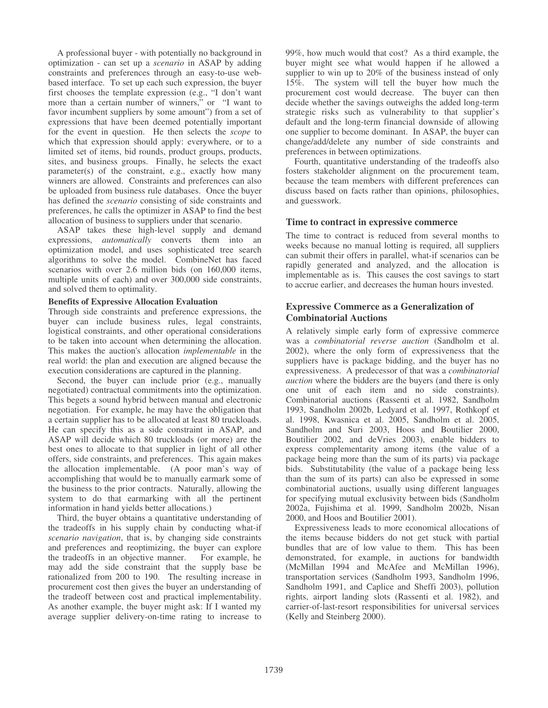A professional buyer - with potentially no background in optimization - can set up a *scenario* in ASAP by adding constraints and preferences through an easy-to-use webbased interface. To set up each such expression, the buyer first chooses the template expression (e.g., "I don't want more than a certain number of winners," or "I want to favor incumbent suppliers by some amount") from a set of expressions that have been deemed potentially important for the event in question. He then selects the *scope* to which that expression should apply: everywhere, or to a limited set of items, bid rounds, product groups, products, sites, and business groups. Finally, he selects the exact parameter(s) of the constraint, e.g., exactly how many winners are allowed. Constraints and preferences can also be uploaded from business rule databases. Once the buyer has defined the *scenario* consisting of side constraints and preferences, he calls the optimizer in ASAP to find the best allocation of business to suppliers under that scenario.

ASAP takes these high-level supply and demand expressions, *automatically* converts them into an optimization model, and uses sophisticated tree search algorithms to solve the model. CombineNet has faced scenarios with over 2.6 million bids (on 160,000 items, multiple units of each) and over 300,000 side constraints, and solved them to optimality.

#### **Benefits of Expressive Allocation Evaluation**

Through side constraints and preference expressions, the buyer can include business rules, legal constraints, logistical constraints, and other operational considerations to be taken into account when determining the allocation. This makes the auction's allocation *implementable* in the real world: the plan and execution are aligned because the execution considerations are captured in the planning.

Second, the buyer can include prior (e.g., manually negotiated) contractual commitments into the optimization. This begets a sound hybrid between manual and electronic negotiation. For example, he may have the obligation that a certain supplier has to be allocated at least 80 truckloads. He can specify this as a side constraint in ASAP, and ASAP will decide which 80 truckloads (or more) are the best ones to allocate to that supplier in light of all other offers, side constraints, and preferences. This again makes the allocation implementable. (A poor man's way of accomplishing that would be to manually earmark some of the business to the prior contracts. Naturally, allowing the system to do that earmarking with all the pertinent information in hand yields better allocations.)

Third, the buyer obtains a quantitative understanding of the tradeoffs in his supply chain by conducting what-if *scenario navigation*, that is, by changing side constraints and preferences and reoptimizing, the buyer can explore the tradeoffs in an objective manner. For example, he the tradeoffs in an objective manner. may add the side constraint that the supply base be rationalized from 200 to 190. The resulting increase in procurement cost then gives the buyer an understanding of the tradeoff between cost and practical implementability. As another example, the buyer might ask: If I wanted my average supplier delivery-on-time rating to increase to 99%, how much would that cost? As a third example, the buyer might see what would happen if he allowed a supplier to win up to 20% of the business instead of only 15%. The system will tell the buyer how much the procurement cost would decrease. The buyer can then decide whether the savings outweighs the added long-term strategic risks such as vulnerability to that supplier's default and the long-term financial downside of allowing one supplier to become dominant. In ASAP, the buyer can change/add/delete any number of side constraints and preferences in between optimizations.

Fourth, quantitative understanding of the tradeoffs also fosters stakeholder alignment on the procurement team, because the team members with different preferences can discuss based on facts rather than opinions, philosophies, and guesswork.

### **Time to contract in expressive commerce**

The time to contract is reduced from several months to weeks because no manual lotting is required, all suppliers can submit their offers in parallel, what-if scenarios can be rapidly generated and analyzed, and the allocation is implementable as is. This causes the cost savings to start to accrue earlier, and decreases the human hours invested.

## **Expressive Commerce as a Generalization of Combinatorial Auctions**

A relatively simple early form of expressive commerce was a *combinatorial reverse auction* (Sandholm et al. 2002), where the only form of expressiveness that the suppliers have is package bidding, and the buyer has no expressiveness. A predecessor of that was a *combinatorial auction* where the bidders are the buyers (and there is only one unit of each item and no side constraints). Combinatorial auctions (Rassenti et al. 1982, Sandholm 1993, Sandholm 2002b, Ledyard et al. 1997, Rothkopf et al. 1998, Kwasnica et al. 2005, Sandholm et al. 2005, Sandholm and Suri 2003, Hoos and Boutilier 2000, Boutilier 2002, and deVries 2003), enable bidders to express complementarity among items (the value of a package being more than the sum of its parts) via package bids. Substitutability (the value of a package being less than the sum of its parts) can also be expressed in some combinatorial auctions, usually using different languages for specifying mutual exclusivity between bids (Sandholm 2002a, Fujishima et al. 1999, Sandholm 2002b, Nisan 2000, and Hoos and Boutilier 2001).

Expressiveness leads to more economical allocations of the items because bidders do not get stuck with partial bundles that are of low value to them. This has been demonstrated, for example, in auctions for bandwidth (McMillan 1994 and McAfee and McMillan 1996), transportation services (Sandholm 1993, Sandholm 1996, Sandholm 1991, and Caplice and Sheffi 2003), pollution rights, airport landing slots (Rassenti et al. 1982), and carrier-of-last-resort responsibilities for universal services (Kelly and Steinberg 2000).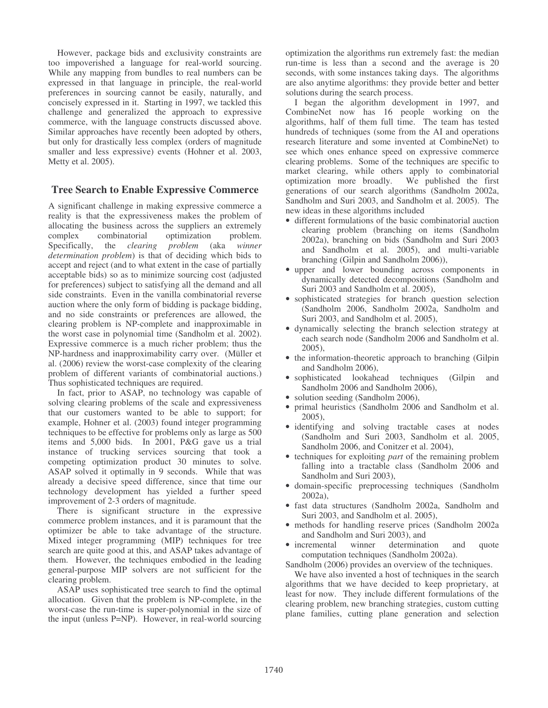However, package bids and exclusivity constraints are too impoverished a language for real-world sourcing. While any mapping from bundles to real numbers can be expressed in that language in principle, the real-world preferences in sourcing cannot be easily, naturally, and concisely expressed in it. Starting in 1997, we tackled this challenge and generalized the approach to expressive commerce, with the language constructs discussed above. Similar approaches have recently been adopted by others, but only for drastically less complex (orders of magnitude smaller and less expressive) events (Hohner et al. 2003, Metty et al. 2005).

## **Tree Search to Enable Expressive Commerce**

A significant challenge in making expressive commerce a reality is that the expressiveness makes the problem of allocating the business across the suppliers an extremely complex combinatorial optimization problem. complex combinatorial optimization problem. Specifically, the *clearing problem* (aka *winner determination problem*) is that of deciding which bids to accept and reject (and to what extent in the case of partially acceptable bids) so as to minimize sourcing cost (adjusted for preferences) subject to satisfying all the demand and all side constraints. Even in the vanilla combinatorial reverse auction where the only form of bidding is package bidding, and no side constraints or preferences are allowed, the clearing problem is NP-complete and inapproximable in the worst case in polynomial time (Sandholm et al. 2002). Expressive commerce is a much richer problem; thus the NP-hardness and inapproximability carry over. (Müller et al. (2006) review the worst-case complexity of the clearing problem of different variants of combinatorial auctions.) Thus sophisticated techniques are required.

In fact, prior to ASAP, no technology was capable of solving clearing problems of the scale and expressiveness that our customers wanted to be able to support; for example, Hohner et al. (2003) found integer programming techniques to be effective for problems only as large as 500 items and 5,000 bids. In 2001, P&G gave us a trial instance of trucking services sourcing that took a competing optimization product 30 minutes to solve. ASAP solved it optimally in 9 seconds. While that was already a decisive speed difference, since that time our technology development has yielded a further speed improvement of 2-3 orders of magnitude.

There is significant structure in the expressive commerce problem instances, and it is paramount that the optimizer be able to take advantage of the structure. Mixed integer programming (MIP) techniques for tree search are quite good at this, and ASAP takes advantage of them. However, the techniques embodied in the leading general-purpose MIP solvers are not sufficient for the clearing problem.

ASAP uses sophisticated tree search to find the optimal allocation. Given that the problem is NP-complete, in the worst-case the run-time is super-polynomial in the size of the input (unless P=NP). However, in real-world sourcing optimization the algorithms run extremely fast: the median run-time is less than a second and the average is 20 seconds, with some instances taking days. The algorithms are also anytime algorithms: they provide better and better solutions during the search process.

I began the algorithm development in 1997, and CombineNet now has 16 people working on the algorithms, half of them full time. The team has tested hundreds of techniques (some from the AI and operations research literature and some invented at CombineNet) to see which ones enhance speed on expressive commerce clearing problems. Some of the techniques are specific to market clearing, while others apply to combinatorial optimization more broadly. We published the first optimization more broadly. generations of our search algorithms (Sandholm 2002a, Sandholm and Suri 2003, and Sandholm et al. 2005). The new ideas in these algorithms included

- different formulations of the basic combinatorial auction clearing problem (branching on items (Sandholm 2002a), branching on bids (Sandholm and Suri 2003 and Sandholm et al. 2005), and multi-variable branching (Gilpin and Sandholm 2006)),
- upper and lower bounding across components in dynamically detected decompositions (Sandholm and Suri 2003 and Sandholm et al. 2005),
- sophisticated strategies for branch question selection (Sandholm 2006, Sandholm 2002a, Sandholm and Suri 2003, and Sandholm et al. 2005),
- dynamically selecting the branch selection strategy at each search node (Sandholm 2006 and Sandholm et al. 2005),
- the information-theoretic approach to branching (Gilpin) and Sandholm 2006),
- sophisticated lookahead techniques (Gilpin and Sandholm 2006 and Sandholm 2006),
- solution seeding (Sandholm 2006),
- primal heuristics (Sandholm 2006 and Sandholm et al. 2005),
- identifying and solving tractable cases at nodes (Sandholm and Suri 2003, Sandholm et al. 2005, Sandholm 2006, and Conitzer et al. 2004),
- techniques for exploiting *part* of the remaining problem falling into a tractable class (Sandholm 2006 and Sandholm and Suri 2003),
- domain-specific preprocessing techniques (Sandholm 2002a),
- fast data structures (Sandholm 2002a, Sandholm and Suri 2003, and Sandholm et al. 2005),
- methods for handling reserve prices (Sandholm 2002a and Sandholm and Suri 2003), and
- incremental winner determination and quote computation techniques (Sandholm 2002a).

Sandholm (2006) provides an overview of the techniques.

We have also invented a host of techniques in the search algorithms that we have decided to keep proprietary, at least for now. They include different formulations of the clearing problem, new branching strategies, custom cutting plane families, cutting plane generation and selection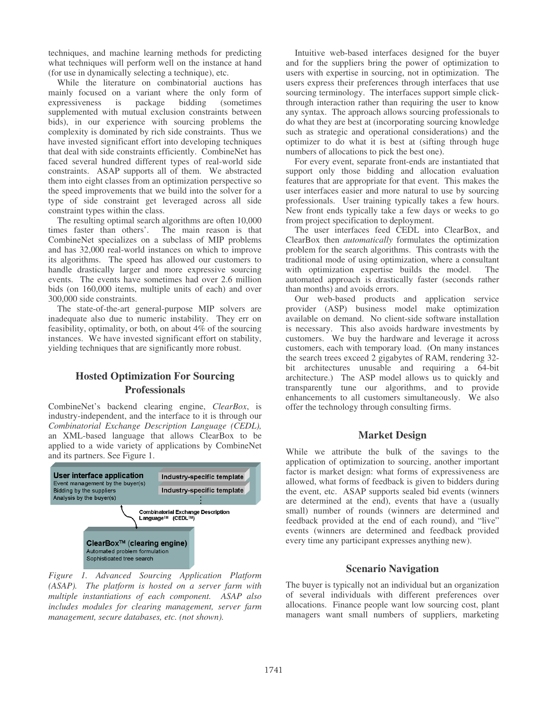techniques, and machine learning methods for predicting what techniques will perform well on the instance at hand (for use in dynamically selecting a technique), etc.

While the literature on combinatorial auctions has mainly focused on a variant where the only form of expressiveness is package bidding (sometimes supplemented with mutual exclusion constraints between bids), in our experience with sourcing problems the complexity is dominated by rich side constraints. Thus we have invested significant effort into developing techniques that deal with side constraints efficiently. CombineNet has faced several hundred different types of real-world side constraints. ASAP supports all of them. We abstracted them into eight classes from an optimization perspective so the speed improvements that we build into the solver for a type of side constraint get leveraged across all side constraint types within the class.

The resulting optimal search algorithms are often 10,000 times faster than others'. The main reason is that CombineNet specializes on a subclass of MIP problems and has 32,000 real-world instances on which to improve its algorithms. The speed has allowed our customers to handle drastically larger and more expressive sourcing events. The events have sometimes had over 2.6 million bids (on 160,000 items, multiple units of each) and over 300,000 side constraints.

The state-of-the-art general-purpose MIP solvers are inadequate also due to numeric instability. They err on feasibility, optimality, or both, on about 4% of the sourcing instances. We have invested significant effort on stability, yielding techniques that are significantly more robust.

## **Hosted Optimization For Sourcing Professionals**

CombineNet's backend clearing engine, *ClearBox*, is industry-independent, and the interface to it is through our *Combinatorial Exchange Description Language (CEDL),* an XML-based language that allows ClearBox to be applied to a wide variety of applications by CombineNet and its partners. See Figure 1.



*Figure 1. Advanced Sourcing Application Platform (ASAP). The platform is hosted on a server farm with multiple instantiations of each component. ASAP also includes modules for clearing management, server farm management, secure databases, etc. (not shown).*

Intuitive web-based interfaces designed for the buyer and for the suppliers bring the power of optimization to users with expertise in sourcing, not in optimization. The users express their preferences through interfaces that use sourcing terminology. The interfaces support simple clickthrough interaction rather than requiring the user to know any syntax. The approach allows sourcing professionals to do what they are best at (incorporating sourcing knowledge such as strategic and operational considerations) and the optimizer to do what it is best at (sifting through huge numbers of allocations to pick the best one).

For every event, separate front-ends are instantiated that support only those bidding and allocation evaluation features that are appropriate for that event. This makes the user interfaces easier and more natural to use by sourcing professionals. User training typically takes a few hours. New front ends typically take a few days or weeks to go from project specification to deployment.

The user interfaces feed CEDL into ClearBox, and ClearBox then *automatically* formulates the optimization problem for the search algorithms. This contrasts with the traditional mode of using optimization, where a consultant with optimization expertise builds the model. The automated approach is drastically faster (seconds rather than months) and avoids errors.

Our web-based products and application service provider (ASP) business model make optimization available on demand. No client-side software installation is necessary. This also avoids hardware investments by customers. We buy the hardware and leverage it across customers, each with temporary load. (On many instances the search trees exceed 2 gigabytes of RAM, rendering 32 bit architectures unusable and requiring a 64-bit architecture.) The ASP model allows us to quickly and transparently tune our algorithms, and to provide enhancements to all customers simultaneously. We also offer the technology through consulting firms.

## **Market Design**

While we attribute the bulk of the savings to the application of optimization to sourcing, another important factor is market design: what forms of expressiveness are allowed, what forms of feedback is given to bidders during the event, etc. ASAP supports sealed bid events (winners are determined at the end), events that have a (usually small) number of rounds (winners are determined and feedback provided at the end of each round), and "live" events (winners are determined and feedback provided every time any participant expresses anything new).

### **Scenario Navigation**

The buyer is typically not an individual but an organization of several individuals with different preferences over allocations. Finance people want low sourcing cost, plant managers want small numbers of suppliers, marketing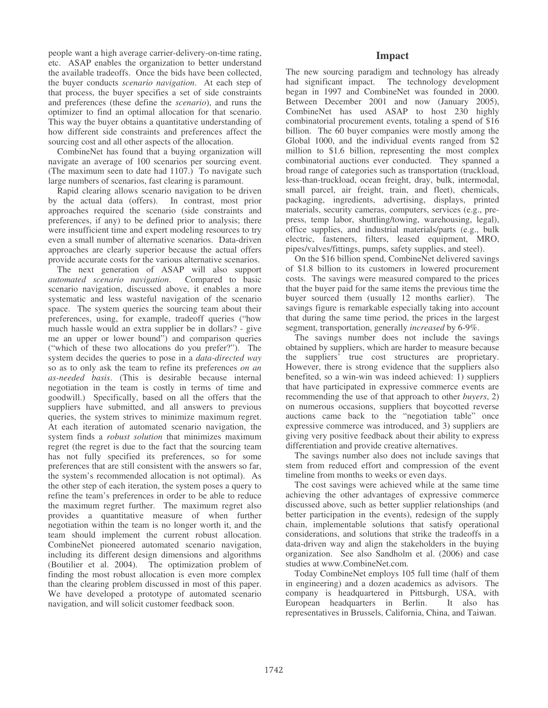people want a high average carrier-delivery-on-time rating, etc. ASAP enables the organization to better understand the available tradeoffs. Once the bids have been collected, the buyer conducts *scenario navigation*. At each step of that process, the buyer specifies a set of side constraints and preferences (these define the *scenario*), and runs the optimizer to find an optimal allocation for that scenario. This way the buyer obtains a quantitative understanding of how different side constraints and preferences affect the sourcing cost and all other aspects of the allocation.

CombineNet has found that a buying organization will navigate an average of 100 scenarios per sourcing event. (The maximum seen to date had 1107.) To navigate such large numbers of scenarios, fast clearing is paramount.

Rapid clearing allows scenario navigation to be driven by the actual data (offers). In contrast, most prior approaches required the scenario (side constraints and preferences, if any) to be defined prior to analysis; there were insufficient time and expert modeling resources to try even a small number of alternative scenarios. Data-driven approaches are clearly superior because the actual offers provide accurate costs for the various alternative scenarios.

The next generation of ASAP will also support *tomated scenario navigation*. Compared to basic *automated scenario navigation*. scenario navigation, discussed above, it enables a more systematic and less wasteful navigation of the scenario space. The system queries the sourcing team about their preferences, using, for example, tradeoff queries ("how much hassle would an extra supplier be in dollars? - give me an upper or lower bound") and comparison queries ("which of these two allocations do you prefer?"). The system decides the queries to pose in a *data-directed way* so as to only ask the team to refine its preferences *on an as-needed basis*. (This is desirable because internal negotiation in the team is costly in terms of time and goodwill.) Specifically, based on all the offers that the suppliers have submitted, and all answers to previous queries, the system strives to minimize maximum regret. At each iteration of automated scenario navigation, the system finds a *robust solution* that minimizes maximum regret (the regret is due to the fact that the sourcing team has not fully specified its preferences, so for some preferences that are still consistent with the answers so far, the system's recommended allocation is not optimal). As the other step of each iteration, the system poses a query to refine the team's preferences in order to be able to reduce the maximum regret further. The maximum regret also provides a quantitative measure of when further negotiation within the team is no longer worth it, and the team should implement the current robust allocation. CombineNet pioneered automated scenario navigation, including its different design dimensions and algorithms (Boutilier et al. 2004). The optimization problem of finding the most robust allocation is even more complex than the clearing problem discussed in most of this paper. We have developed a prototype of automated scenario navigation, and will solicit customer feedback soon.

#### **Impact**

The new sourcing paradigm and technology has already had significant impact. The technology development began in 1997 and CombineNet was founded in 2000. Between December 2001 and now (January 2005), CombineNet has used ASAP to host 230 highly combinatorial procurement events, totaling a spend of \$16 billion. The 60 buyer companies were mostly among the Global 1000, and the individual events ranged from \$2 million to \$1.6 billion, representing the most complex combinatorial auctions ever conducted. They spanned a broad range of categories such as transportation (truckload, less-than-truckload, ocean freight, dray, bulk, intermodal, small parcel, air freight, train, and fleet), chemicals, packaging, ingredients, advertising, displays, printed materials, security cameras, computers, services (e.g., prepress, temp labor, shuttling/towing, warehousing, legal), office supplies, and industrial materials/parts (e.g., bulk electric, fasteners, filters, leased equipment, MRO, pipes/valves/fittings, pumps, safety supplies, and steel).

On the \$16 billion spend, CombineNet delivered savings of \$1.8 billion to its customers in lowered procurement costs. The savings were measured compared to the prices that the buyer paid for the same items the previous time the buyer sourced them (usually 12 months earlier). The savings figure is remarkable especially taking into account that during the same time period, the prices in the largest segment, transportation, generally *increased* by 6-9%.

The savings number does not include the savings obtained by suppliers, which are harder to measure because the suppliers' true cost structures are proprietary. However, there is strong evidence that the suppliers also benefited, so a win-win was indeed achieved: 1) suppliers that have participated in expressive commerce events are recommending the use of that approach to other *buyers*, 2) on numerous occasions, suppliers that boycotted reverse auctions came back to the "negotiation table" once expressive commerce was introduced, and 3) suppliers are giving very positive feedback about their ability to express differentiation and provide creative alternatives.

The savings number also does not include savings that stem from reduced effort and compression of the event timeline from months to weeks or even days.

The cost savings were achieved while at the same time achieving the other advantages of expressive commerce discussed above, such as better supplier relationships (and better participation in the events), redesign of the supply chain, implementable solutions that satisfy operational considerations, and solutions that strike the tradeoffs in a data-driven way and align the stakeholders in the buying organization. See also Sandholm et al. (2006) and case studies at www.CombineNet.com.

Today CombineNet employs 105 full time (half of them in engineering) and a dozen academics as advisors. The company is headquartered in Pittsburgh, USA, with<br>European headquarters in Berlin. It also has European headquarters in Berlin. representatives in Brussels, California, China, and Taiwan.